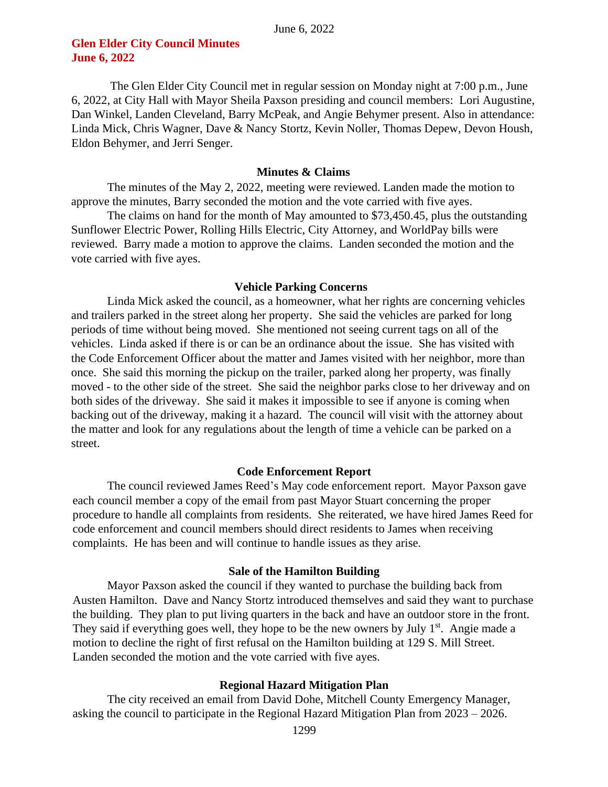# **Glen Elder City Council Minutes June 6, 2022**

The Glen Elder City Council met in regular session on Monday night at 7:00 p.m., June 6, 2022, at City Hall with Mayor Sheila Paxson presiding and council members: Lori Augustine, Dan Winkel, Landen Cleveland, Barry McPeak, and Angie Behymer present. Also in attendance: Linda Mick, Chris Wagner, Dave & Nancy Stortz, Kevin Noller, Thomas Depew, Devon Housh, Eldon Behymer, and Jerri Senger.

## **Minutes & Claims**

The minutes of the May 2, 2022, meeting were reviewed. Landen made the motion to approve the minutes, Barry seconded the motion and the vote carried with five ayes.

The claims on hand for the month of May amounted to \$73,450.45, plus the outstanding Sunflower Electric Power, Rolling Hills Electric, City Attorney, and WorldPay bills were reviewed. Barry made a motion to approve the claims. Landen seconded the motion and the vote carried with five ayes.

## **Vehicle Parking Concerns**

Linda Mick asked the council, as a homeowner, what her rights are concerning vehicles and trailers parked in the street along her property. She said the vehicles are parked for long periods of time without being moved. She mentioned not seeing current tags on all of the vehicles. Linda asked if there is or can be an ordinance about the issue. She has visited with the Code Enforcement Officer about the matter and James visited with her neighbor, more than once. She said this morning the pickup on the trailer, parked along her property, was finally moved - to the other side of the street. She said the neighbor parks close to her driveway and on both sides of the driveway. She said it makes it impossible to see if anyone is coming when backing out of the driveway, making it a hazard. The council will visit with the attorney about the matter and look for any regulations about the length of time a vehicle can be parked on a street.

## **Code Enforcement Report**

The council reviewed James Reed's May code enforcement report. Mayor Paxson gave each council member a copy of the email from past Mayor Stuart concerning the proper procedure to handle all complaints from residents. She reiterated, we have hired James Reed for code enforcement and council members should direct residents to James when receiving complaints. He has been and will continue to handle issues as they arise.

## **Sale of the Hamilton Building**

Mayor Paxson asked the council if they wanted to purchase the building back from Austen Hamilton. Dave and Nancy Stortz introduced themselves and said they want to purchase the building. They plan to put living quarters in the back and have an outdoor store in the front. They said if everything goes well, they hope to be the new owners by July  $1<sup>st</sup>$ . Angie made a motion to decline the right of first refusal on the Hamilton building at 129 S. Mill Street. Landen seconded the motion and the vote carried with five ayes.

## **Regional Hazard Mitigation Plan**

The city received an email from David Dohe, Mitchell County Emergency Manager, asking the council to participate in the Regional Hazard Mitigation Plan from 2023 – 2026.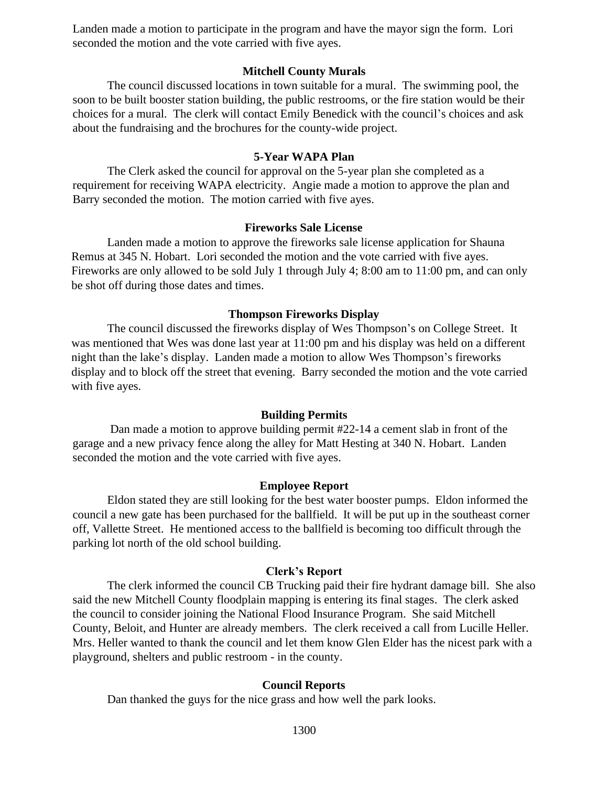Landen made a motion to participate in the program and have the mayor sign the form. Lori seconded the motion and the vote carried with five ayes.

## **Mitchell County Murals**

The council discussed locations in town suitable for a mural. The swimming pool, the soon to be built booster station building, the public restrooms, or the fire station would be their choices for a mural. The clerk will contact Emily Benedick with the council's choices and ask about the fundraising and the brochures for the county-wide project.

## **5-Year WAPA Plan**

The Clerk asked the council for approval on the 5-year plan she completed as a requirement for receiving WAPA electricity. Angie made a motion to approve the plan and Barry seconded the motion. The motion carried with five ayes.

## **Fireworks Sale License**

Landen made a motion to approve the fireworks sale license application for Shauna Remus at 345 N. Hobart. Lori seconded the motion and the vote carried with five ayes. Fireworks are only allowed to be sold July 1 through July 4; 8:00 am to 11:00 pm, and can only be shot off during those dates and times.

## **Thompson Fireworks Display**

The council discussed the fireworks display of Wes Thompson's on College Street. It was mentioned that Wes was done last year at 11:00 pm and his display was held on a different night than the lake's display. Landen made a motion to allow Wes Thompson's fireworks display and to block off the street that evening. Barry seconded the motion and the vote carried with five ayes.

#### **Building Permits**

Dan made a motion to approve building permit #22-14 a cement slab in front of the garage and a new privacy fence along the alley for Matt Hesting at 340 N. Hobart. Landen seconded the motion and the vote carried with five ayes.

## **Employee Report**

Eldon stated they are still looking for the best water booster pumps. Eldon informed the council a new gate has been purchased for the ballfield. It will be put up in the southeast corner off, Vallette Street. He mentioned access to the ballfield is becoming too difficult through the parking lot north of the old school building.

#### **Clerk's Report**

The clerk informed the council CB Trucking paid their fire hydrant damage bill. She also said the new Mitchell County floodplain mapping is entering its final stages. The clerk asked the council to consider joining the National Flood Insurance Program. She said Mitchell County, Beloit, and Hunter are already members. The clerk received a call from Lucille Heller. Mrs. Heller wanted to thank the council and let them know Glen Elder has the nicest park with a playground, shelters and public restroom - in the county.

## **Council Reports**

Dan thanked the guys for the nice grass and how well the park looks.